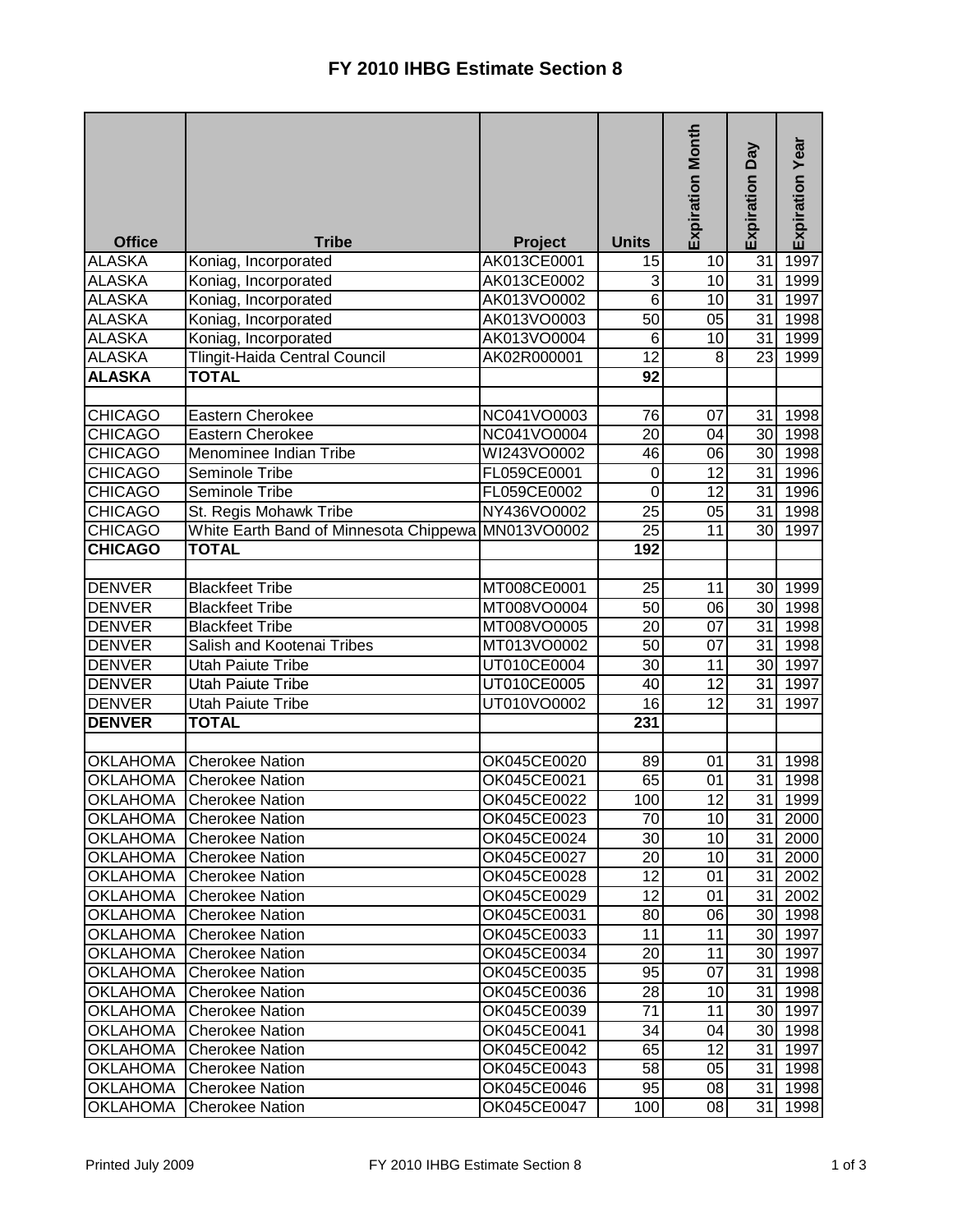| <b>Office</b>   | <b>Tribe</b>                                       | Project     | <b>Units</b>     | <b>Expiration Month</b> | Expiration Day  | Expiration Year      |
|-----------------|----------------------------------------------------|-------------|------------------|-------------------------|-----------------|----------------------|
| <b>ALASKA</b>   | Koniag, Incorporated                               | AK013CE0001 | 15               | 10                      | $\overline{31}$ | 1997                 |
| <b>ALASKA</b>   | Koniag, Incorporated                               | AK013CE0002 | ω                | 10                      | 31              | 1999                 |
| <b>ALASKA</b>   | Koniag, Incorporated                               | AK013VO0002 | $\overline{6}$   | 10                      | 31              | 1997                 |
| <b>ALASKA</b>   | Koniag, Incorporated                               | AK013VO0003 | $\overline{50}$  | $\overline{05}$         | 31              | 1998                 |
| <b>ALASKA</b>   | Koniag, Incorporated                               | AK013VO0004 | $\overline{6}$   | $\overline{10}$         | 31              | 1999                 |
| <b>ALASKA</b>   | Tlingit-Haida Central Council                      | AK02R000001 | $\overline{12}$  | 8                       | $\overline{23}$ | 1999                 |
| <b>ALASKA</b>   | <b>TOTAL</b>                                       |             | 92               |                         |                 |                      |
|                 |                                                    |             |                  |                         |                 |                      |
| <b>CHICAGO</b>  | Eastern Cherokee                                   | NC041VO0003 | 76               | 07                      | 31              | 1998                 |
| <b>CHICAGO</b>  | Eastern Cherokee                                   | NC041VO0004 | 20               | 04                      | 30 <sup>1</sup> | 1998                 |
| <b>CHICAGO</b>  | Menominee Indian Tribe                             | WI243VO0002 | 46               | 06                      | 30              | 1998                 |
| <b>CHICAGO</b>  | Seminole Tribe                                     | FL059CE0001 | $\boldsymbol{0}$ | 12                      | 31              | 1996                 |
| <b>CHICAGO</b>  | Seminole Tribe                                     | FL059CE0002 | $\overline{0}$   | $\overline{12}$         | 31              | 1996                 |
| <b>CHICAGO</b>  | St. Regis Mohawk Tribe                             | NY436VO0002 | $\overline{25}$  | 05                      | 31              | 1998                 |
| <b>CHICAGO</b>  | White Earth Band of Minnesota Chippewa MN013VO0002 |             | $\overline{25}$  | 11                      | 30              | 1997                 |
| <b>CHICAGO</b>  | <b>TOTAL</b>                                       |             | 192              |                         |                 |                      |
|                 |                                                    |             |                  |                         |                 |                      |
| <b>DENVER</b>   | <b>Blackfeet Tribe</b>                             | MT008CE0001 | 25               | 11                      | 30              | 1999                 |
| <b>DENVER</b>   | <b>Blackfeet Tribe</b>                             | MT008VO0004 | 50               | 06                      | 30              | 1998                 |
| <b>DENVER</b>   | <b>Blackfeet Tribe</b>                             | MT008VO0005 | 20               | 07                      | 31              | 1998                 |
| <b>DENVER</b>   | Salish and Kootenai Tribes                         | MT013VO0002 | $\overline{50}$  | $\overline{07}$         | 31              | 1998                 |
| <b>DENVER</b>   | Utah Paiute Tribe                                  | UT010CE0004 | $\overline{30}$  | 11                      | 30              | 1997                 |
| <b>DENVER</b>   | Utah Paiute Tribe                                  | UT010CE0005 | $\overline{40}$  | $\overline{12}$         | 31              | 1997                 |
| <b>DENVER</b>   | <b>Utah Paiute Tribe</b>                           | UT010VO0002 | $\overline{16}$  | $\overline{12}$         | $\overline{31}$ | 1997                 |
| <b>DENVER</b>   | <b>TOTAL</b>                                       |             | 231              |                         |                 |                      |
|                 |                                                    |             |                  |                         |                 |                      |
| <b>OKLAHOMA</b> | <b>Cherokee Nation</b>                             | OK045CE0020 | 89               | 01                      | 31              | 1998                 |
| <b>OKLAHOMA</b> | <b>Cherokee Nation</b>                             | OK045CE0021 | 65               | 01                      | 31              | 1998                 |
| <b>OKLAHOMA</b> | <b>Cherokee Nation</b>                             | OK045CE0022 | 100              | $\overline{12}$         | $\overline{31}$ | 1999                 |
|                 | <b>OKLAHOMA</b> Cherokee Nation                    | OK045CE0023 | 70               | 10 <sup>1</sup>         |                 | $\overline{31}$ 2000 |
| <b>OKLAHOMA</b> | <b>Cherokee Nation</b>                             | OK045CE0024 | 30               | 10 <sub>1</sub>         | 31              | 2000                 |
| <b>OKLAHOMA</b> | <b>Cherokee Nation</b>                             | OK045CE0027 | 20               | 10 <sup>1</sup>         |                 | 31 2000              |
| <b>OKLAHOMA</b> | <b>Cherokee Nation</b>                             | OK045CE0028 | 12               | 01                      |                 | 31 2002              |
| <b>OKLAHOMA</b> | <b>Cherokee Nation</b>                             | OK045CE0029 | 12               | 01                      |                 | 31 2002              |
| <b>OKLAHOMA</b> | <b>Cherokee Nation</b>                             | OK045CE0031 | 80               | 06                      |                 | 30 1998              |
| <b>OKLAHOMA</b> | <b>Cherokee Nation</b>                             | OK045CE0033 | 11               | 11                      |                 | 30 1997              |
| <b>OKLAHOMA</b> | <b>Cherokee Nation</b>                             | OK045CE0034 | 20               | 11                      |                 | 30 1997              |
| <b>OKLAHOMA</b> | <b>Cherokee Nation</b>                             | OK045CE0035 | 95               | 07                      |                 | 31 1998              |
| <b>OKLAHOMA</b> | <b>Cherokee Nation</b>                             | OK045CE0036 | 28               | 10 <sup>1</sup>         |                 | 31 1998              |
| <b>OKLAHOMA</b> | <b>Cherokee Nation</b>                             | OK045CE0039 | 71               | 11                      | 30 <sup>1</sup> | 1997                 |
| <b>OKLAHOMA</b> | <b>Cherokee Nation</b>                             | OK045CE0041 | 34               | 04                      |                 | 30 1998              |
| <b>OKLAHOMA</b> | <b>Cherokee Nation</b>                             | OK045CE0042 | 65               | 12                      |                 | 31 1997              |
| <b>OKLAHOMA</b> | <b>Cherokee Nation</b>                             | OK045CE0043 | 58               | 05                      |                 | 31 1998              |
| <b>OKLAHOMA</b> | <b>Cherokee Nation</b>                             | OK045CE0046 | 95               | 08                      | 31              | 1998                 |
| <b>OKLAHOMA</b> | <b>Cherokee Nation</b>                             | OK045CE0047 | 100              | 08                      | 31              | 1998                 |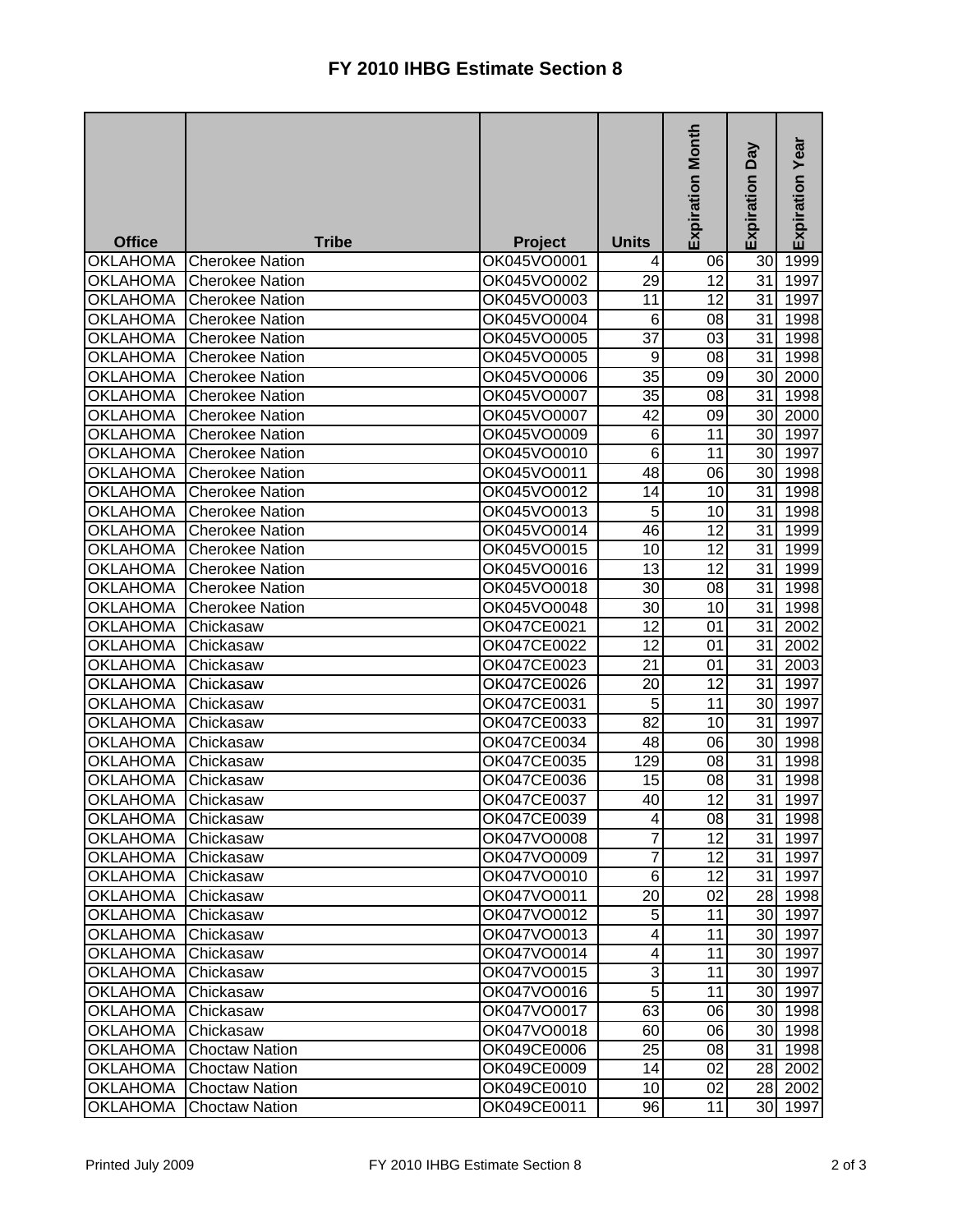| <b>Office</b>   | <b>Tribe</b>           | <b>Project</b> | <b>Units</b>    | <b>Expiration Month</b> | <b>Day</b><br>Expiration | <b>Expiration Year</b> |
|-----------------|------------------------|----------------|-----------------|-------------------------|--------------------------|------------------------|
| <b>OKLAHOMA</b> | <b>Cherokee Nation</b> | OK045VO0001    | 4               | 06                      | 30                       | 1999                   |
| <b>OKLAHOMA</b> | Cherokee Nation        | OK045VO0002    | 29              | 12                      | 31                       | 1997                   |
| <b>OKLAHOMA</b> | <b>Cherokee Nation</b> | OK045VO0003    | 11              | $\overline{12}$         | $\overline{31}$          | 1997                   |
| <b>OKLAHOMA</b> | <b>Cherokee Nation</b> | OK045VO0004    | $\overline{6}$  | 08                      | 31                       | 1998                   |
| <b>OKLAHOMA</b> | <b>Cherokee Nation</b> | OK045VO0005    | $\overline{37}$ | 03                      | 31                       | 1998                   |
| <b>OKLAHOMA</b> | <b>Cherokee Nation</b> | OK045VO0005    | 9               | 08                      | 31                       | 1998                   |
| <b>OKLAHOMA</b> | <b>Cherokee Nation</b> | OK045VO0006    | $\overline{35}$ | 09                      | 30 <sup>1</sup>          | 2000                   |
| <b>OKLAHOMA</b> | <b>Cherokee Nation</b> | OK045VO0007    | 35              | $0\overline{8}$         | 31                       | 1998                   |
| <b>OKLAHOMA</b> | <b>Cherokee Nation</b> | OK045VO0007    | 42              | 09                      | 30 <sub>l</sub>          | 2000                   |
| <b>OKLAHOMA</b> | <b>Cherokee Nation</b> | OK045VO0009    | 6               | 11                      | 30 <sup>1</sup>          | 1997                   |
| <b>OKLAHOMA</b> | <b>Cherokee Nation</b> | OK045VO0010    | 6               | 11                      | 30 <sup>1</sup>          | 1997                   |
| <b>OKLAHOMA</b> | <b>Cherokee Nation</b> | OK045VO0011    | 48              | 06                      | 30 <sup>1</sup>          | 1998                   |
| <b>OKLAHOMA</b> | <b>Cherokee Nation</b> | OK045VO0012    | 14              | 10                      | 31                       | 1998                   |
| <b>OKLAHOMA</b> | <b>Cherokee Nation</b> | OK045VO0013    | $\overline{5}$  | 10                      | 31                       | 1998                   |
| <b>OKLAHOMA</b> | <b>Cherokee Nation</b> | OK045VO0014    | 46              | 12                      | 31                       | 1999                   |
| <b>OKLAHOMA</b> | <b>Cherokee Nation</b> | OK045VO0015    | 10              | $\overline{12}$         | 31                       | 1999                   |
| <b>OKLAHOMA</b> | <b>Cherokee Nation</b> | OK045VO0016    | 13              | 12                      | 31                       | 1999                   |
| <b>OKLAHOMA</b> | <b>Cherokee Nation</b> | OK045VO0018    | 30              | 08                      | 31                       | 1998                   |
| <b>OKLAHOMA</b> | <b>Cherokee Nation</b> | OK045VO0048    | 30              | 10                      | 31                       | 1998                   |
| OKLAHOMA        | Chickasaw              | OK047CE0021    | 12              | 01                      | 31                       | 2002                   |
| <b>OKLAHOMA</b> | Chickasaw              | OK047CE0022    | 12              | 01                      | $\overline{31}$          | 2002                   |
| <b>OKLAHOMA</b> | Chickasaw              | OK047CE0023    | $\overline{21}$ | 01                      | 31                       | 2003                   |
| <b>OKLAHOMA</b> | Chickasaw              | OK047CE0026    | 20              | 12                      | 31                       | 1997                   |
| <b>OKLAHOMA</b> | Chickasaw              | OK047CE0031    | 5               | 11                      | 30                       | 1997                   |
| <b>OKLAHOMA</b> | Chickasaw              | OK047CE0033    | $\overline{82}$ | 10                      | 31                       | 1997                   |
| <b>OKLAHOMA</b> | Chickasaw              | OK047CE0034    | 48              | 06                      | 30                       | 1998                   |
| <b>OKLAHOMA</b> | Chickasaw              | OK047CE0035    | 129             | 08                      | 31                       | 1998                   |
| <b>OKLAHOMA</b> | Chickasaw              | OK047CE0036    | 15              | 08                      | 31                       | 1998                   |
| <b>OKLAHOMA</b> | Chickasaw              | OK047CE0037    | 40              | $\overline{12}$         | $\overline{31}$          | 1997                   |
| <b>OKLAHOMA</b> | Chickasaw              | OK047CE0039    | $\vert 4 \vert$ | 08                      | 31 I                     | 1998                   |
| <b>OKLAHOMA</b> | Chickasaw              | OK047VO0008    | 7               | 12                      | 31                       | 1997                   |
| <b>OKLAHOMA</b> | Chickasaw              | OK047VO0009    | $\overline{7}$  | 12                      | 31                       | 1997                   |
| <b>OKLAHOMA</b> | Chickasaw              | OK047VO0010    | $\overline{6}$  | 12                      | 31                       | 1997                   |
| <b>OKLAHOMA</b> | Chickasaw              | OK047VO0011    | 20              | 02                      |                          | 28 1998                |
| <b>OKLAHOMA</b> | Chickasaw              | OK047VO0012    | 5               | 11                      |                          | 30 1997                |
| <b>OKLAHOMA</b> | Chickasaw              | OK047VO0013    | 4               | 11                      |                          | 30 1997                |
| OKLAHOMA        | Chickasaw              | OK047VO0014    | 4               | 11                      |                          | 30 1997                |
| <b>OKLAHOMA</b> | Chickasaw              | OK047VO0015    | 3               | 11                      |                          | 30 1997                |
| OKLAHOMA        | Chickasaw              | OK047VO0016    | 5               | 11                      |                          | 30 1997                |
| <b>OKLAHOMA</b> | Chickasaw              | OK047VO0017    | 63              | 06                      |                          | 30 1998                |
| <b>OKLAHOMA</b> | Chickasaw              | OK047VO0018    | 60              | 06                      |                          | 30 1998                |
| <b>OKLAHOMA</b> | <b>Choctaw Nation</b>  | OK049CE0006    | 25              | 08                      |                          | 31 1998                |
| <b>OKLAHOMA</b> | <b>Choctaw Nation</b>  | OK049CE0009    | 14              | 02                      |                          | 28 2002                |
| <b>OKLAHOMA</b> | <b>Choctaw Nation</b>  | OK049CE0010    | 10              | 02                      |                          | 28 2002                |
| OKLAHOMA        | <b>Choctaw Nation</b>  | OK049CE0011    | 96              | 11                      |                          | 30 1997                |